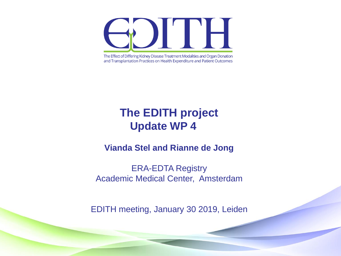The Effect of Differing Kidney Disease Treatment Modalities and Organ Donation and Transplantation Practices on Health Expenditure and Patient Outcomes

#### **The EDITH project Update WP 4**

#### **Vianda Stel and Rianne de Jong**

ERA-EDTA Registry Academic Medical Center, Amsterdam

EDITH meeting, January 30 2019, Leiden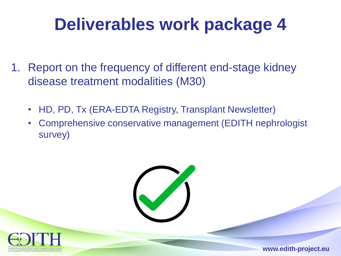- 1. Report on the frequency of different end-stage kidney disease treatment modalities (M30)
	- HD, PD, Tx (ERA-EDTA Registry, Transplant Newsletter)
	- Comprehensive conservative management (EDITH nephrologist survey)

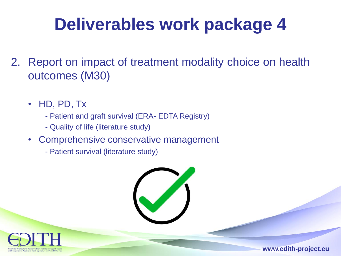- 2. Report on impact of treatment modality choice on health outcomes (M30)
	- HD, PD, Tx
		- Patient and graft survival (ERA- EDTA Registry)
		- Quality of life (literature study)
	- Comprehensive conservative management
		- Patient survival (literature study)

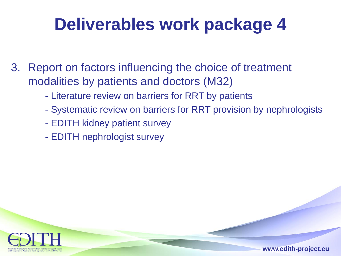- 3. Report on factors influencing the choice of treatment modalities by patients and doctors (M32)
	- Literature review on barriers for RRT by patients
	- Systematic review on barriers for RRT provision by nephrologists
	- EDITH kidney patient survey
	- EDITH nephrologist survey

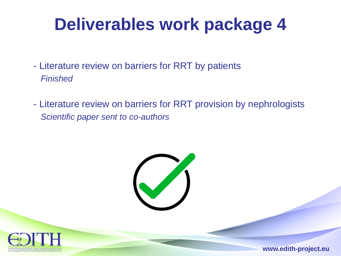- Literature review on barriers for RRT by patients *Finished*
- Literature review on barriers for RRT provision by nephrologists *Scientific paper sent to co-authors*



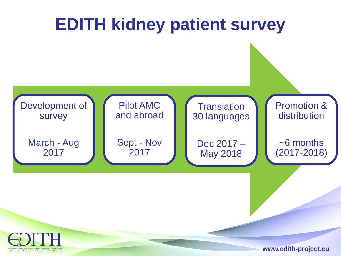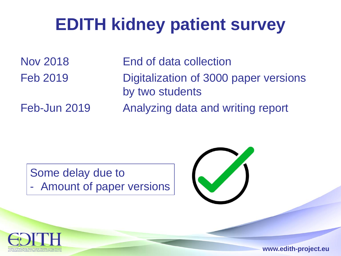# **EDITH kidney patient survey**

Nov 2018 End of data collection

Feb 2019 Digitalization of 3000 paper versions by two students

Feb-Jun 2019 Analyzing data and writing report

Some delay due to Amount of paper versions



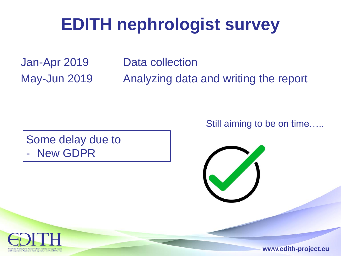## **EDITH nephrologist survey**

Jan-Apr 2019 Data collection

May-Jun 2019 Analyzing data and writing the report

Some delay due to **New GDPR** 

Still aiming to be on time…..



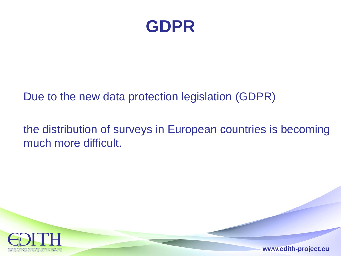

#### Due to the new data protection legislation (GDPR)

#### the distribution of surveys in European countries is becoming much more difficult.

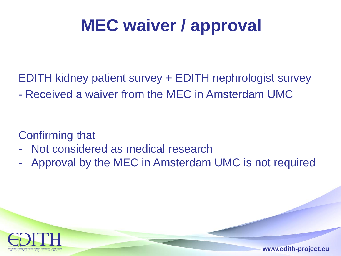# **MEC waiver / approval**

EDITH kidney patient survey + EDITH nephrologist survey

- Received a waiver from the MEC in Amsterdam UMC

Confirming that

- Not considered as medical research
- Approval by the MEC in Amsterdam UMC is not required

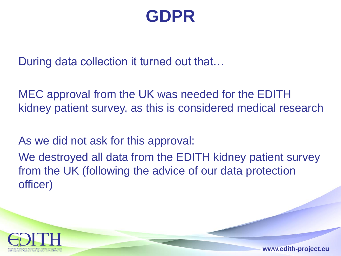#### **GDPR**

During data collection it turned out that…

MEC approval from the UK was needed for the EDITH kidney patient survey, as this is considered medical research

As we did not ask for this approval:

We destroyed all data from the EDITH kidney patient survey from the UK (following the advice of our data protection officer)

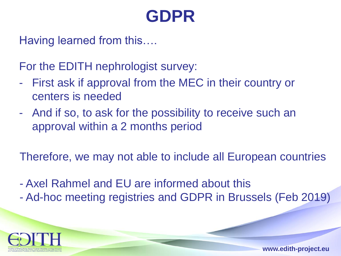#### **GDPR**

Having learned from this….

For the EDITH nephrologist survey:

- First ask if approval from the MEC in their country or centers is needed
- And if so, to ask for the possibility to receive such an approval within a 2 months period

Therefore, we may not able to include all European countries

- Axel Rahmel and EU are informed about this
- Ad-hoc meeting registries and GDPR in Brussels (Feb 2019)

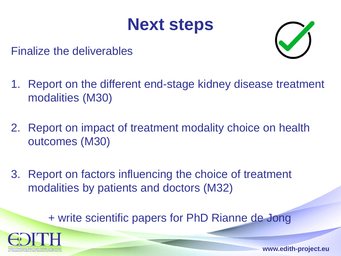#### **Next steps**



Finalize the deliverables

- 1. Report on the different end-stage kidney disease treatment modalities (M30)
- 2. Report on impact of treatment modality choice on health outcomes (M30)
- 3. Report on factors influencing the choice of treatment modalities by patients and doctors (M32)

+ write scientific papers for PhD Rianne de Jong

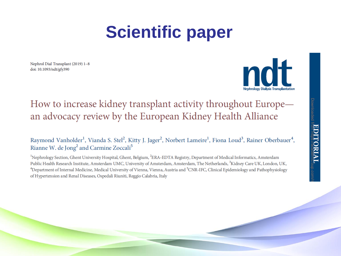## **Scientific paper**

Nephrol Dial Transplant (2019) 1-8 doi: 10.1093/ndt/gfy390



#### How to increase kidney transplant activity throughout Europe an advocacy review by the European Kidney Health Alliance

Raymond Vanholder<sup>1</sup>, Vianda S. Stel<sup>2</sup>, Kitty J. Jager<sup>2</sup>, Norbert Lameire<sup>1</sup>, Fiona Loud<sup>3</sup>, Rainer Oberbauer<sup>4</sup>, Rianne W. de Jong<sup>2</sup> and Carmine Zoccali<sup>5</sup>

<sup>1</sup>Nephrology Section, Ghent University Hospital, Ghent, Belgium, <sup>2</sup>ERA-EDTA Registry, Department of Medical Informatics, Amsterdam Public Health Research Institute, Amsterdam UMC, University of Amsterdam, Amsterdam, The Netherlands, <sup>3</sup>Kidney Care UK, London, UK, <sup>4</sup>Department of Internal Medicine, Medical University of Vienna, Vienna, Austria and <sup>5</sup>CNR-IFC, Clinical Epidemiology and Pathophysiology of Hypertension and Renal Diseases, Ospedali Riuniti, Reggio Calabria, Italy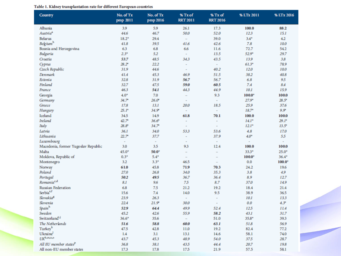| Table 1. Kidney transplantation rate for different European countries |  |
|-----------------------------------------------------------------------|--|
|-----------------------------------------------------------------------|--|

| Country                             | No. of Tx<br>pmp 2011 | No. of Tx<br>pmp 2016    | % Tx of<br><b>RRT 2011</b>  | % Tx of<br><b>RRT 2016</b> | % LTx 2011 | % LTx 2016     |
|-------------------------------------|-----------------------|--------------------------|-----------------------------|----------------------------|------------|----------------|
| Albania                             | 3.9                   | 5.9                      | 26.1                        | 17.3                       | 100.0      | 88.2           |
| Austria <sup>a</sup>                | 44.6                  | 46.7                     | 50.0                        | 52.0                       | 12.3       | 15.1           |
| <b>Belarus</b>                      | $18.2*$               | 29.4                     | $\overline{\phantom{0}}$    | 39.0                       | $3.4*$     | 4.2            |
| <b>Belgium</b> <sup>b</sup>         | 41.8                  | 39.5                     | 41.6                        | 42.6                       | 7.8        | 10.0           |
| Bosnia and Herzegovina              | 6.3                   | 6.8                      | 6.6                         | 11.6                       | 72.7       | 54.2           |
| Bulgaria                            | $2.3*$                | 5.2                      | ×.                          | 13.5                       | $52.9*$    | 29.7           |
| Croatia                             | 53.7                  | 48.5                     | 34.3                        | 43.5                       | 13.9       | 3.8            |
| Cyprus                              | $28.2^*$              | 22.2                     | $\mathbf{r}$                | $\overline{\phantom{a}}$   | $61.3*$    | 78.9           |
| Czech Republic                      | 31.9                  | 44.6                     | $\mathbf{r}$                | 40.2                       | 12.0       | 10.0           |
| Denmark                             | 41.4                  | 45.3                     | 46.9                        | 51.5                       | 38.2       | 40.8           |
| Estonia                             | 32.8                  | 31.9                     | 56.7                        | 56.7                       | 6.8        | 9.5            |
| Finland                             | 32.7                  | 47.5                     | 59.0                        | 60.5                       | 7.4        | 8.4            |
| France                              | 46.3                  | 54.1                     | 44.3                        | 44.9                       | 10.1       | 15.9           |
| Georgia                             | $4.0*$                | 7.0                      | $\overline{\phantom{0}}$    | 9.3                        | $100.0*$   | 100.0          |
| Germany                             | $34.7*$               | $26.0*$                  | $\mathbf{r}$                | ٠                          | $27.9*$    | $28.5^*$       |
| Greece                              | 17.8                  | 13.1                     | 20.0                        | 18.5                       | 25.9       | 37.6           |
| Hungary                             | $25.1$ *              | $34.9*$                  | $\sim$                      | $\sim$                     | $18.7*$    | $9.9*$         |
| Iceland                             | 34.5                  | 14.9                     | 61.8                        | 70.1                       | 100.0      | 100.0          |
| <b>Ireland</b>                      | $42.7^*$              | $36.6*$                  | $\blacksquare$              | ×,                         | $14.1*$    | $29.1^*$       |
| Italy                               | $28.8^*$              | $34.7*$                  | $\mathbf{r}$                | ×,                         | $12.1*$    | $13.5^*$       |
| Latvia                              | 36.1                  | 34.0                     | 53.3                        | 53.6                       | 4.8        | 17.0           |
| Lithuania                           | $22.7^*$              | 37.7                     | $\sim$                      | 37.9                       | $4.0*$     | 5.5            |
| Luxembourg                          | $\sim$                | $\overline{\phantom{a}}$ | $\blacksquare$              | ×,                         | ٠          | $\blacksquare$ |
| Macedonia, former Yugoslav Republic | 3.0                   | 3.5                      | 9.3                         | 12.4                       | 100.0      | 100.0          |
| Malta                               | 45.0*                 | $50.0*$                  | $\overline{\phantom{0}}$    | ÷                          | $33.3*$    | $25.0*$        |
| Moldova, Republic of                | $0.3*$                | $5.4*$                   | $\overline{\phantom{0}}$    | $\overline{\phantom{0}}$   | $100.0*$   | $36.4*$        |
| Montenegro                          | 3.2                   | $3.3*$                   | 46.5                        | $\overline{\phantom{0}}$   | 0.0        | $100.0*$       |
| Norway                              | 61.0                  | 45.8                     | 71.9                        | 70.3                       | 24.2       | 19.6           |
| Poland                              | 27.0                  | 26.8                     | 34.0                        | 35.3                       | 3.8        | 4.9            |
| Portugal                            | 50.2                  | 49.5                     | 36.7                        | 36.4                       | 8.9        | 12.7           |
| Romania <sup>c,d</sup>              | 8.1                   | 9.6                      | 75                          | 8.7                        | 37.0       | 14.9           |
| Russian Federation                  | 6.8                   | 7.5                      | 21.2                        | 19.2                       | 18.4       | 21.4           |
| Serbia <sup>e,f</sup>               | 15.6                  | 7.4                      | 14.0                        | 9.5                        | 38.9       | 36.5           |
| Slovakia <sup>g</sup>               | 23.9                  | 26.3                     | $\mathcal{L}_{\mathcal{A}}$ | $\blacksquare$             | 10.1       | 13.3           |
| Slovenia                            | 22.4                  | $21.9*$                  | 30.0                        | $\overline{\phantom{a}}$   | 0.0        | $4.3*$         |
| Spainh                              | 52.9                  | 64.4                     | 49.9                        | 52.4                       | 12.5       | 11.4           |
| Sweden                              | 45.2                  | 42.6                     | 55.9                        | 58.2                       | 43.1       | 31.7           |
| Switzerland <sup>1,J</sup>          | $36.6*$               | 35.6                     | $\overline{\phantom{0}}$    | 51.0                       | $35.8*$    | 39.3           |
| The Netherlands                     | 51.6                  | 58.8                     | 60.0                        | 63.1                       | 51.8       | 56.9           |
| Turkeyk                             | 47.5                  | 42.8                     | 11.0                        | 19.2                       | 82.4       | 77.2           |
| Ukraine <sup>1</sup>                | 1.4                   | 3.1                      | 13.1                        | 14.6                       | 58.1       | 74.0           |
| $UK^{b,m,n,o}$                      | 43.7                  | 45.3                     | 48.9                        | 54.0                       | 37.5       | 28.7           |
| All EU member states <sup>P</sup>   | 36.8                  | 38.1                     | 43.5                        | 44.4                       | 20.7       | 19.8           |
| All non-EU member states            | 17.3                  | 17.8                     | 17.5                        | 21.9                       | 57.5       | 58.1           |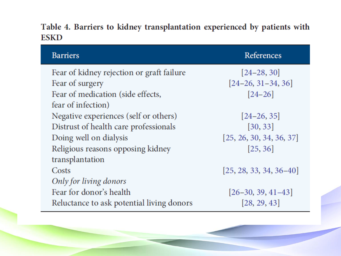#### Table 4. Barriers to kidney transplantation experienced by patients with **ESKD**

| <b>Barriers</b>                           | References                |
|-------------------------------------------|---------------------------|
| Fear of kidney rejection or graft failure | $[24-28, 30]$             |
| Fear of surgery                           | $[24-26, 31-34, 36]$      |
| Fear of medication (side effects,         | $[24 - 26]$               |
| fear of infection)                        |                           |
| Negative experiences (self or others)     | $[24-26, 35]$             |
| Distrust of health care professionals     | [30, 33]                  |
| Doing well on dialysis                    | [25, 26, 30, 34, 36, 37]  |
| Religious reasons opposing kidney         | [25, 36]                  |
| transplantation                           |                           |
| Costs                                     | $[25, 28, 33, 34, 36-40]$ |
| Only for living donors                    |                           |
| Fear for donor's health                   | $[26-30, 39, 41-43]$      |
| Reluctance to ask potential living donors | [28, 29, 43]              |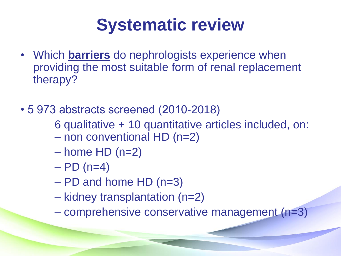## **Systematic review**

- Which **barriers** do nephrologists experience when providing the most suitable form of renal replacement therapy?
- 5 973 abstracts screened (2010-2018)
	- 6 qualitative + 10 quantitative articles included, on:
	- non conventional HD (n=2)
	- $-$  home HD (n=2)
	- $-$  PD (n=4)
	- PD and home HD (n=3)
	- kidney transplantation (n=2)
	- comprehensive conservative management (n=3)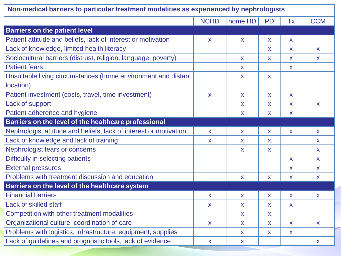| Non-medical barriers to particular treatment modalities as experienced by nephrologists |              |         |                         |              |              |
|-----------------------------------------------------------------------------------------|--------------|---------|-------------------------|--------------|--------------|
|                                                                                         | <b>NCHD</b>  | home HD | PD                      | <b>Tx</b>    | <b>CCM</b>   |
| <b>Barriers on the patient level</b>                                                    |              |         |                         |              |              |
| Patient attitude and beliefs, lack of interest or motivation                            | X            | X       | X                       | $\mathsf{X}$ |              |
| Lack of knowledge, limited health literacy                                              |              |         | X                       | X            | X            |
| Sociocultural barriers (distrust, religion, language, poverty)                          |              | X       | X                       | X            | X            |
| <b>Patient fears</b>                                                                    |              | X       |                         | X            |              |
| Unsuitable living circumstances (home environment and distant                           |              | X       | X                       |              |              |
| location)                                                                               |              |         |                         |              |              |
| Patient investment (costs, travel, time investment)                                     | X            | X       | X                       | X            |              |
| Lack of support                                                                         |              | X       | X                       | X            | X            |
| Patient adherence and hygiene                                                           |              | X       | X                       | $\mathsf{X}$ |              |
| Barriers on the level of the healthcare professional                                    |              |         |                         |              |              |
| Nephrologist attitude and beliefs, lack of interest or motivation                       | $\mathsf{X}$ | X       | $\overline{\mathsf{X}}$ | $\mathsf{X}$ | $\mathsf{X}$ |
| Lack of knowledge and lack of training                                                  | X            | X       | X                       |              | X            |
| Nephrologist fears or concerns                                                          |              | X       | X                       |              | X            |
| Difficulty in selecting patients                                                        |              |         |                         | X            | $\mathsf{X}$ |
| <b>External pressures</b>                                                               |              |         |                         | X            | X            |
| Problems with treatment discussion and education                                        |              | X       | X                       | $\mathsf{X}$ | X            |
| Barriers on the level of the healthcare system                                          |              |         |                         |              |              |
| <b>Financial barriers</b>                                                               | X            | X       | X                       | X            | $\mathsf{X}$ |
| Lack of skilled staff                                                                   | X            | X       | X                       | X            |              |
| Competition with other treatment modalities                                             |              | X       | X                       |              |              |
| Organizational culture, coordination of care                                            | $\mathsf{X}$ | X       | X                       | $\mathsf{X}$ | $\mathsf{X}$ |
| Problems with logistics, infrastructure, equipment, supplies                            |              | X       | X                       | X            |              |
| Lack of guidelines and prognostic tools, lack of evidence                               | X            | X       |                         |              | X            |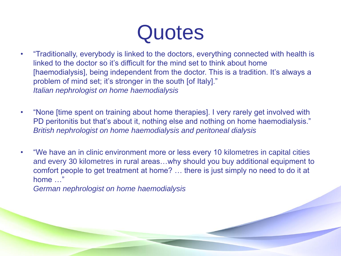# **Quotes**

- "Traditionally, everybody is linked to the doctors, everything connected with health is linked to the doctor so it's difficult for the mind set to think about home [haemodialysis], being independent from the doctor. This is a tradition. It's always a problem of mind set; it's stronger in the south [of Italy]." *Italian nephrologist on home haemodialysis*
- "None [time spent on training about home therapies]. I very rarely get involved with PD peritonitis but that's about it, nothing else and nothing on home haemodialysis." *British nephrologist on home haemodialysis and peritoneal dialysis*
- "We have an in clinic environment more or less every 10 kilometres in capital cities and every 30 kilometres in rural areas…why should you buy additional equipment to comfort people to get treatment at home? … there is just simply no need to do it at home …"

*German nephrologist on home haemodialysis*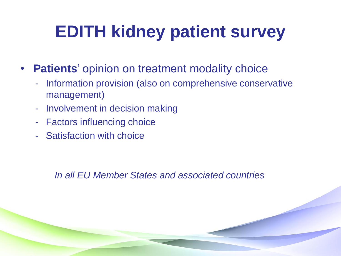## **EDITH kidney patient survey**

- **Patients**' opinion on treatment modality choice
	- Information provision (also on comprehensive conservative management)
	- Involvement in decision making
	- Factors influencing choice
	- Satisfaction with choice

*In all EU Member States and associated countries*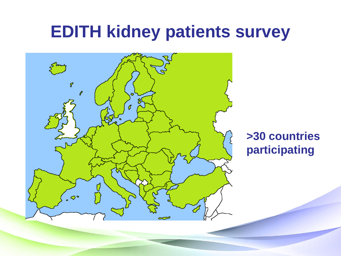#### **EDITH kidney patients survey**



#### **>30 countries participating**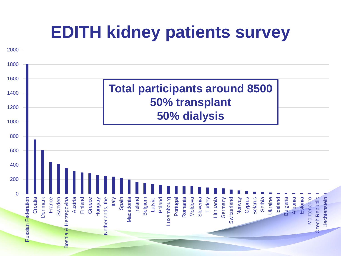#### **EDITH kidney patients survey**

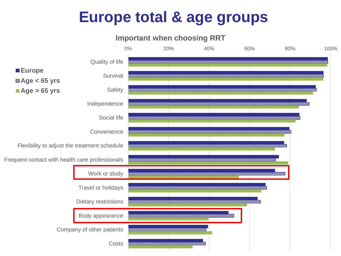#### **Europe total & age groups**

#### **Important when choosing RRT**

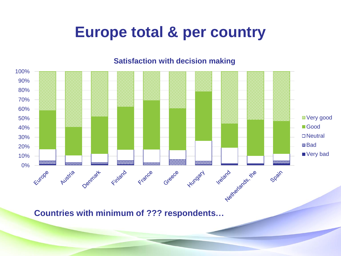#### **Europe total & per country**

#### 100% 90% 80% 70% 60% ■ Very good 50% ■Good 40% □ Neutral 30% ■ Bad 20% ■ Very bad 10% N relationshime 0% -France Spain Finland Greece Hungary Austria Denmark

**Satisfaction with decision making**

**Countries with minimum of ??? respondents…**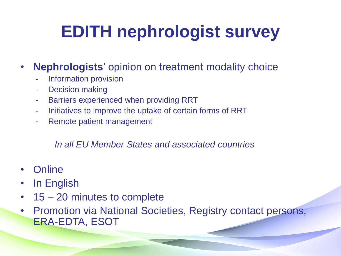# **EDITH nephrologist survey**

#### • **Nephrologists**' opinion on treatment modality choice

- Information provision
- Decision making
- Barriers experienced when providing RRT
- Initiatives to improve the uptake of certain forms of RRT
- Remote patient management

#### *In all EU Member States and associated countries*

- Online
- In English
- 15 20 minutes to complete
- Promotion via National Societies, Registry contact persons, ERA-EDTA, ESOT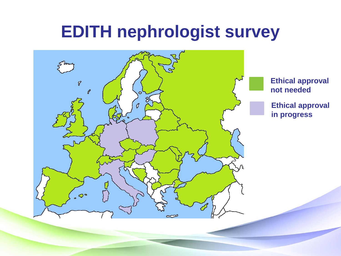#### **EDITH nephrologist survey**